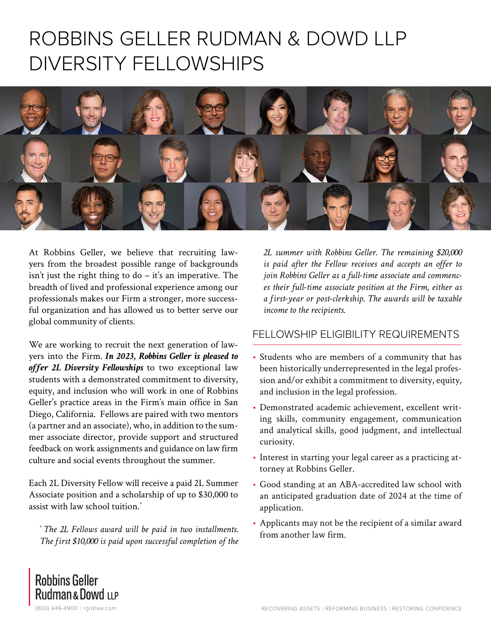# ROBBINS GELLER RUDMAN & DOWD LLP DIVERSITY FELLOWSHIPS



At Robbins Geller, we believe that recruiting lawyers from the broadest possible range of backgrounds isn't just the right thing to do  $-$  it's an imperative. The breadth of lived and professional experience among our professionals makes our Firm a stronger, more successful organization and has allowed us to better serve our global community of clients.

We are working to recruit the next generation of lawyers into the Firm. *In 2023, Robbins Geller is pleased to offer 2L Diversity Fellowships* to two exceptional law students with a demonstrated commitment to diversity, equity, and inclusion who will work in one of Robbins Geller's practice areas in the Firm's main office in San Diego, California. Fellows are paired with two mentors (a partner and an associate), who, in addition to the summer associate director, provide support and structured feedback on work assignments and guidance on law firm culture and social events throughout the summer.

Each 2L Diversity Fellow will receive a paid 2L Summer Associate position and a scholarship of up to \$30,000 to assist with law school tuition.\*

*\* The 2L Fellows award will be paid in two installments. The first \$10,000 is paid upon successful completion of the* *2L summer with Robbins Geller. The remaining \$20,000 is paid after the Fellow receives and accepts an offer to join Robbins Geller as a full-time associate and commences their full-time associate position at the Firm, either as a first-year or post-clerkship. The awards will be taxable income to the recipients.*

#### FELLOWSHIP ELIGIBILITY REQUIREMENTS

- Students who are members of a community that has been historically underrepresented in the legal profession and/or exhibit a commitment to diversity, equity, and inclusion in the legal profession.
- Demonstrated academic achievement, excellent writing skills, community engagement, communication and analytical skills, good judgment, and intellectual curiosity.
- Interest in starting your legal career as a practicing attorney at Robbins Geller.
- Good standing at an ABA-accredited law school with an anticipated graduation date of 2024 at the time of application.
- Applicants may not be the recipient of a similar award from another law firm.